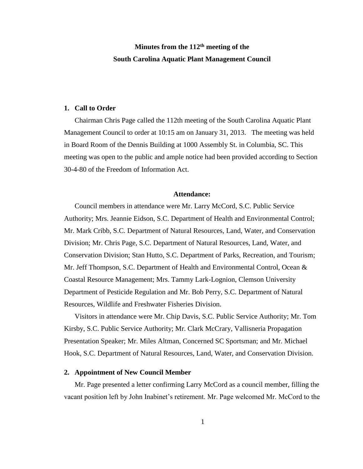# **Minutes from the 112th meeting of the South Carolina Aquatic Plant Management Council**

#### **1. Call to Order**

Chairman Chris Page called the 112th meeting of the South Carolina Aquatic Plant Management Council to order at 10:15 am on January 31, 2013. The meeting was held in Board Room of the Dennis Building at 1000 Assembly St. in Columbia, SC. This meeting was open to the public and ample notice had been provided according to Section 30-4-80 of the Freedom of Information Act.

#### **Attendance:**

Council members in attendance were Mr. Larry McCord, S.C. Public Service Authority; Mrs. Jeannie Eidson, S.C. Department of Health and Environmental Control; Mr. Mark Cribb, S.C. Department of Natural Resources, Land, Water, and Conservation Division; Mr. Chris Page, S.C. Department of Natural Resources, Land, Water, and Conservation Division; Stan Hutto, S.C. Department of Parks, Recreation, and Tourism; Mr. Jeff Thompson, S.C. Department of Health and Environmental Control, Ocean & Coastal Resource Management; Mrs. Tammy Lark-Lognion, Clemson University Department of Pesticide Regulation and Mr. Bob Perry, S.C. Department of Natural Resources, Wildlife and Freshwater Fisheries Division.

Visitors in attendance were Mr. Chip Davis, S.C. Public Service Authority; Mr. Tom Kirsby, S.C. Public Service Authority; Mr. Clark McCrary, Vallisneria Propagation Presentation Speaker; Mr. Miles Altman, Concerned SC Sportsman; and Mr. Michael Hook, S.C. Department of Natural Resources, Land, Water, and Conservation Division.

### **2. Appointment of New Council Member**

Mr. Page presented a letter confirming Larry McCord as a council member, filling the vacant position left by John Inabinet's retirement. Mr. Page welcomed Mr. McCord to the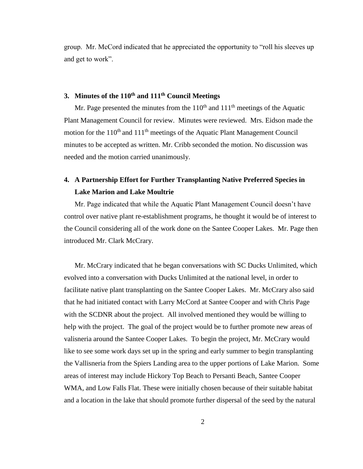group. Mr. McCord indicated that he appreciated the opportunity to "roll his sleeves up and get to work".

# **3. Minutes of the 110th and 111th Council Meetings**

Mr. Page presented the minutes from the  $110<sup>th</sup>$  and  $111<sup>th</sup>$  meetings of the Aquatic Plant Management Council for review. Minutes were reviewed. Mrs. Eidson made the motion for the  $110<sup>th</sup>$  and  $111<sup>th</sup>$  meetings of the Aquatic Plant Management Council minutes to be accepted as written. Mr. Cribb seconded the motion. No discussion was needed and the motion carried unanimously.

# **4. A Partnership Effort for Further Transplanting Native Preferred Species in Lake Marion and Lake Moultrie**

Mr. Page indicated that while the Aquatic Plant Management Council doesn't have control over native plant re-establishment programs, he thought it would be of interest to the Council considering all of the work done on the Santee Cooper Lakes. Mr. Page then introduced Mr. Clark McCrary.

Mr. McCrary indicated that he began conversations with SC Ducks Unlimited, which evolved into a conversation with Ducks Unlimited at the national level, in order to facilitate native plant transplanting on the Santee Cooper Lakes. Mr. McCrary also said that he had initiated contact with Larry McCord at Santee Cooper and with Chris Page with the SCDNR about the project. All involved mentioned they would be willing to help with the project. The goal of the project would be to further promote new areas of valisneria around the Santee Cooper Lakes. To begin the project, Mr. McCrary would like to see some work days set up in the spring and early summer to begin transplanting the Vallisneria from the Spiers Landing area to the upper portions of Lake Marion. Some areas of interest may include Hickory Top Beach to Persanti Beach, Santee Cooper WMA, and Low Falls Flat. These were initially chosen because of their suitable habitat and a location in the lake that should promote further dispersal of the seed by the natural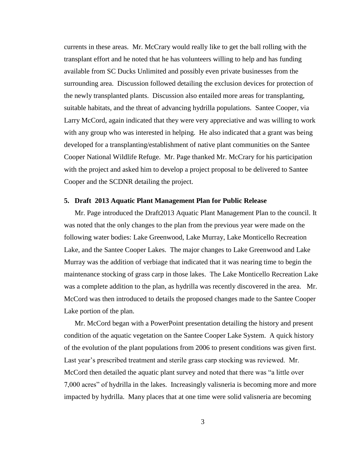currents in these areas. Mr. McCrary would really like to get the ball rolling with the transplant effort and he noted that he has volunteers willing to help and has funding available from SC Ducks Unlimited and possibly even private businesses from the surrounding area. Discussion followed detailing the exclusion devices for protection of the newly transplanted plants. Discussion also entailed more areas for transplanting, suitable habitats, and the threat of advancing hydrilla populations. Santee Cooper, via Larry McCord, again indicated that they were very appreciative and was willing to work with any group who was interested in helping. He also indicated that a grant was being developed for a transplanting/establishment of native plant communities on the Santee Cooper National Wildlife Refuge. Mr. Page thanked Mr. McCrary for his participation with the project and asked him to develop a project proposal to be delivered to Santee Cooper and the SCDNR detailing the project.

#### **5. Draft 2013 Aquatic Plant Management Plan for Public Release**

Mr. Page introduced the Draft2013 Aquatic Plant Management Plan to the council. It was noted that the only changes to the plan from the previous year were made on the following water bodies: Lake Greenwood, Lake Murray, Lake Monticello Recreation Lake, and the Santee Cooper Lakes. The major changes to Lake Greenwood and Lake Murray was the addition of verbiage that indicated that it was nearing time to begin the maintenance stocking of grass carp in those lakes. The Lake Monticello Recreation Lake was a complete addition to the plan, as hydrilla was recently discovered in the area. Mr. McCord was then introduced to details the proposed changes made to the Santee Cooper Lake portion of the plan.

Mr. McCord began with a PowerPoint presentation detailing the history and present condition of the aquatic vegetation on the Santee Cooper Lake System. A quick history of the evolution of the plant populations from 2006 to present conditions was given first. Last year's prescribed treatment and sterile grass carp stocking was reviewed. Mr. McCord then detailed the aquatic plant survey and noted that there was "a little over 7,000 acres" of hydrilla in the lakes. Increasingly valisneria is becoming more and more impacted by hydrilla. Many places that at one time were solid valisneria are becoming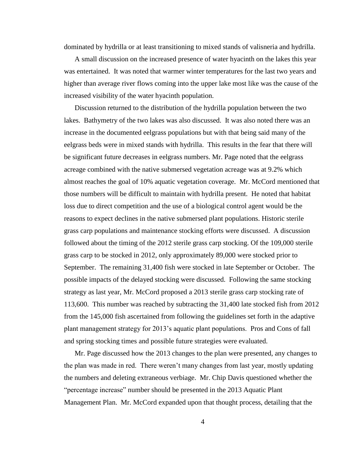dominated by hydrilla or at least transitioning to mixed stands of valisneria and hydrilla.

A small discussion on the increased presence of water hyacinth on the lakes this year was entertained. It was noted that warmer winter temperatures for the last two years and higher than average river flows coming into the upper lake most like was the cause of the increased visibility of the water hyacinth population.

Discussion returned to the distribution of the hydrilla population between the two lakes. Bathymetry of the two lakes was also discussed. It was also noted there was an increase in the documented eelgrass populations but with that being said many of the eelgrass beds were in mixed stands with hydrilla. This results in the fear that there will be significant future decreases in eelgrass numbers. Mr. Page noted that the eelgrass acreage combined with the native submersed vegetation acreage was at 9.2% which almost reaches the goal of 10% aquatic vegetation coverage. Mr. McCord mentioned that those numbers will be difficult to maintain with hydrilla present. He noted that habitat loss due to direct competition and the use of a biological control agent would be the reasons to expect declines in the native submersed plant populations. Historic sterile grass carp populations and maintenance stocking efforts were discussed. A discussion followed about the timing of the 2012 sterile grass carp stocking. Of the 109,000 sterile grass carp to be stocked in 2012, only approximately 89,000 were stocked prior to September. The remaining 31,400 fish were stocked in late September or October. The possible impacts of the delayed stocking were discussed. Following the same stocking strategy as last year, Mr. McCord proposed a 2013 sterile grass carp stocking rate of 113,600. This number was reached by subtracting the 31,400 late stocked fish from 2012 from the 145,000 fish ascertained from following the guidelines set forth in the adaptive plant management strategy for 2013's aquatic plant populations. Pros and Cons of fall and spring stocking times and possible future strategies were evaluated.

Mr. Page discussed how the 2013 changes to the plan were presented, any changes to the plan was made in red. There weren't many changes from last year, mostly updating the numbers and deleting extraneous verbiage. Mr. Chip Davis questioned whether the "percentage increase" number should be presented in the 2013 Aquatic Plant Management Plan. Mr. McCord expanded upon that thought process, detailing that the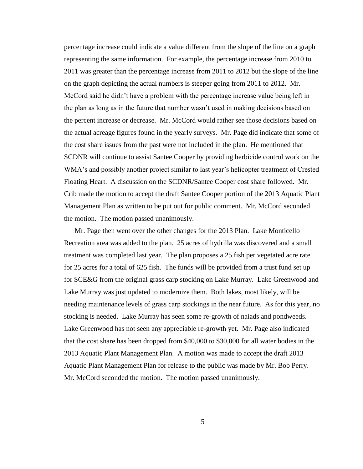percentage increase could indicate a value different from the slope of the line on a graph representing the same information. For example, the percentage increase from 2010 to 2011 was greater than the percentage increase from 2011 to 2012 but the slope of the line on the graph depicting the actual numbers is steeper going from 2011 to 2012. Mr. McCord said he didn't have a problem with the percentage increase value being left in the plan as long as in the future that number wasn't used in making decisions based on the percent increase or decrease. Mr. McCord would rather see those decisions based on the actual acreage figures found in the yearly surveys. Mr. Page did indicate that some of the cost share issues from the past were not included in the plan. He mentioned that SCDNR will continue to assist Santee Cooper by providing herbicide control work on the WMA's and possibly another project similar to last year's helicopter treatment of Crested Floating Heart. A discussion on the SCDNR/Santee Cooper cost share followed. Mr. Crib made the motion to accept the draft Santee Cooper portion of the 2013 Aquatic Plant Management Plan as written to be put out for public comment. Mr. McCord seconded the motion. The motion passed unanimously.

Mr. Page then went over the other changes for the 2013 Plan. Lake Monticello Recreation area was added to the plan. 25 acres of hydrilla was discovered and a small treatment was completed last year. The plan proposes a 25 fish per vegetated acre rate for 25 acres for a total of 625 fish. The funds will be provided from a trust fund set up for SCE&G from the original grass carp stocking on Lake Murray. Lake Greenwood and Lake Murray was just updated to modernize them. Both lakes, most likely, will be needing maintenance levels of grass carp stockings in the near future. As for this year, no stocking is needed. Lake Murray has seen some re-growth of naiads and pondweeds. Lake Greenwood has not seen any appreciable re-growth yet. Mr. Page also indicated that the cost share has been dropped from \$40,000 to \$30,000 for all water bodies in the 2013 Aquatic Plant Management Plan. A motion was made to accept the draft 2013 Aquatic Plant Management Plan for release to the public was made by Mr. Bob Perry. Mr. McCord seconded the motion. The motion passed unanimously.

5